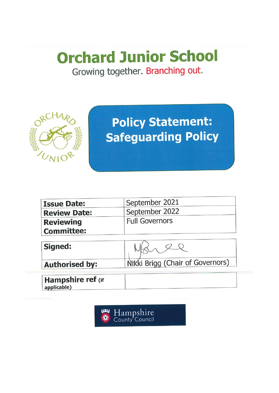# **Orchard Junior School** Growing together. Branching out.



# **Policy Statement: Safeguarding Policy**

| <b>Issue Date:</b>    | September 2021                   |
|-----------------------|----------------------------------|
| <b>Review Date:</b>   | September 2022                   |
| <b>Reviewing</b>      | <b>Full Governors</b>            |
| <b>Committee:</b>     |                                  |
| Signed:               |                                  |
| <b>Authorised by:</b> | Nikki Brigg (Chair of Governors) |

applicable)

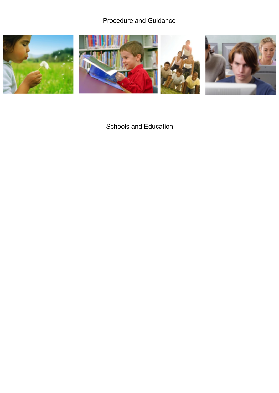# Procedure and Guidance



Schools and Education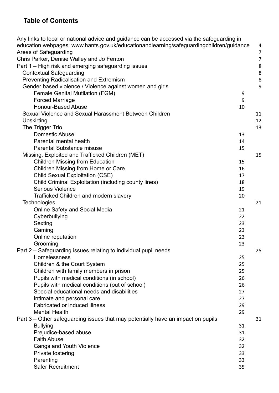# **Table of Contents**

| Any links to local or national advice and guidance can be accessed via the safeguarding in |    |                |
|--------------------------------------------------------------------------------------------|----|----------------|
| education webpages: www.hants.gov.uk/educationandlearning/safeguardingchildren/guidance    |    | 4              |
| Areas of Safeguarding                                                                      |    | $\overline{7}$ |
| Chris Parker, Denise Walley and Jo Fenton                                                  |    | $\overline{7}$ |
| Part 1 – High risk and emerging safeguarding issues                                        |    | 8              |
| <b>Contextual Safeguarding</b>                                                             |    | $\,8\,$        |
| <b>Preventing Radicalisation and Extremism</b>                                             |    | 8              |
| Gender based violence / Violence against women and girls                                   |    | 9              |
| <b>Female Genital Mutilation (FGM)</b>                                                     | 9  |                |
| <b>Forced Marriage</b>                                                                     | 9  |                |
| <b>Honour-Based Abuse</b>                                                                  | 10 |                |
| Sexual Violence and Sexual Harassment Between Children                                     |    | 11             |
| Upskirting                                                                                 |    | 12             |
| The Trigger Trio                                                                           |    | 13             |
| Domestic Abuse                                                                             | 13 |                |
| Parental mental health                                                                     | 14 |                |
| <b>Parental Substance misuse</b>                                                           | 15 |                |
| Missing, Exploited and Trafficked Children (MET)                                           |    | 15             |
| <b>Children Missing from Education</b>                                                     | 15 |                |
| Children Missing from Home or Care                                                         | 16 |                |
| Child Sexual Exploitation (CSE)                                                            | 17 |                |
| Child Criminal Exploitation (including county lines)                                       | 18 |                |
| <b>Serious Violence</b>                                                                    | 19 |                |
| Trafficked Children and modern slavery                                                     | 20 |                |
| Technologies                                                                               |    | 21             |
| <b>Online Safety and Social Media</b>                                                      | 21 |                |
| Cyberbullying                                                                              | 22 |                |
| Sexting                                                                                    | 23 |                |
| Gaming                                                                                     | 23 |                |
| Online reputation                                                                          | 23 |                |
| Grooming                                                                                   | 23 |                |
| Part 2 – Safeguarding issues relating to individual pupil needs                            |    | 25             |
| <b>Homelessness</b>                                                                        | 25 |                |
| Children & the Court System                                                                | 25 |                |
| Children with family members in prison                                                     | 25 |                |
| Pupils with medical conditions (in school)                                                 | 26 |                |
| Pupils with medical conditions (out of school)                                             | 26 |                |
| Special educational needs and disabilities                                                 | 27 |                |
| Intimate and personal care                                                                 | 27 |                |
| <b>Fabricated or induced illness</b>                                                       | 29 |                |
| <b>Mental Health</b>                                                                       | 29 |                |
| Part 3 – Other safeguarding issues that may potentially have an impact on pupils           |    | 31             |
| <b>Bullying</b>                                                                            | 31 |                |
| Prejudice-based abuse                                                                      | 31 |                |
| <b>Faith Abuse</b>                                                                         | 32 |                |
|                                                                                            | 32 |                |
| Gangs and Youth Violence<br>Private fostering                                              | 33 |                |
| Parenting                                                                                  | 33 |                |
| Safer Recruitment                                                                          | 35 |                |
|                                                                                            |    |                |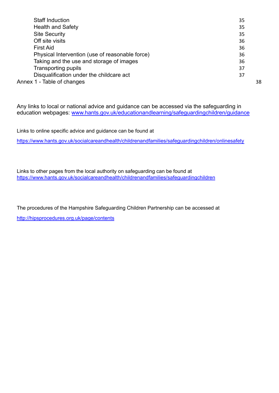| <b>Staff Induction</b>                          | 35 |
|-------------------------------------------------|----|
| <b>Health and Safety</b>                        | 35 |
| <b>Site Security</b>                            | 35 |
| Off site visits                                 | 36 |
| <b>First Aid</b>                                | 36 |
| Physical Intervention (use of reasonable force) | 36 |
| Taking and the use and storage of images        | 36 |
| <b>Transporting pupils</b>                      | 37 |
| Disqualification under the childcare act        | 37 |
| Annex 1 - Table of changes                      | 38 |
|                                                 |    |

<span id="page-3-0"></span>Any links to local or national advice and guidance can be accessed via the safeguarding in education webpages: [www.hants.gov.uk/educationandlearning/safeguardingchildren/guidance](http://www.hants.gov.uk/educationandlearning/safeguardingchildren/guidance)

Links to online specific advice and guidance can be found at

<https://www.hants.gov.uk/socialcareandhealth/childrenandfamilies/safeguardingchildren/onlinesafety>

Links to other pages from the local authority on safeguarding can be found at <https://www.hants.gov.uk/socialcareandhealth/childrenandfamilies/safeguardingchildren>

The procedures of the Hampshire Safeguarding Children Partnership can be accessed at <http://hipsprocedures.org.uk/page/contents>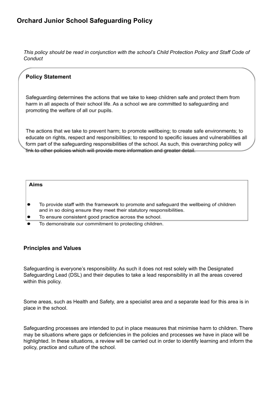*This policy should be read in conjunction with the school's Child Protection Policy and Staff Code of Conduct*

# **Policy Statement**

Safeguarding determines the actions that we take to keep children safe and protect them from harm in all aspects of their school life. As a school we are committed to safeguarding and promoting the welfare of all our pupils.

The actions that we take to prevent harm; to promote wellbeing; to create safe environments; to educate on rights, respect and responsibilities; to respond to specific issues and vulnerabilities all form part of the safeguarding responsibilities of the school. As such, this overarching policy will link to other policies which will provide more information and greater detail.

#### Aims

- $\bullet$ To provide staff with the framework to promote and safequard the wellbeing of children and in so doing ensure they meet their statutory responsibilities.
- To ensure consistent good practice across the school.
- To demonstrate our commitment to protecting children.

#### **Principles and Values**

Safeguarding is everyone's responsibility. As such it does not rest solely with the Designated Safeguarding Lead (DSL) and their deputies to take a lead responsibility in all the areas covered within this policy.

Some areas, such as Health and Safety, are a specialist area and a separate lead for this area is in place in the school.

Safeguarding processes are intended to put in place measures that minimise harm to children. There may be situations where gaps or deficiencies in the policies and processes we have in place will be highlighted. In these situations, a review will be carried out in order to identify learning and inform the policy, practice and culture of the school.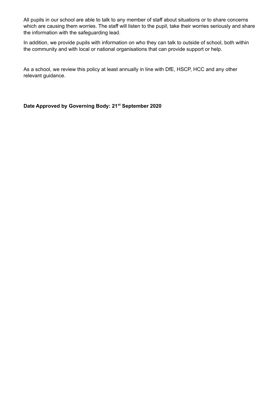All pupils in our school are able to talk to any member of staff about situations or to share concerns which are causing them worries. The staff will listen to the pupil, take their worries seriously and share the information with the safeguarding lead.

In addition, we provide pupils with information on who they can talk to outside of school, both within the community and with local or national organisations that can provide support or help.

As a school, we review this policy at least annually in line with DfE, HSCP, HCC and any other relevant guidance.

**Date Approved by Governing Body: 21 st September 2020**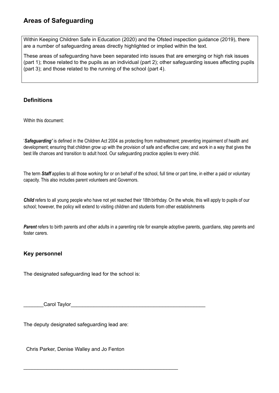# <span id="page-6-0"></span>**Areas of Safeguarding**

Within Keeping Children Safe in Education (2020) and the Ofsted inspection guidance (2019), there are a number of safeguarding areas directly highlighted or implied within the text.

These areas of safeguarding have been separated into issues that are emerging or high risk issues (part 1); those related to the pupils as an individual (part 2); other safeguarding issues affecting pupils (part 3); and those related to the running of the school (part 4).

#### **Definitions**

Within this document:

'*Safeguarding'* is defined in the Children Act 2004 as protecting from maltreatment; preventing impairment of health and development; ensuring that children grow up with the provision of safe and effective care; and work in a way that gives the best life chances and transition to adult hood. Our safeguarding practice applies to every child.

The term *Staff* applies to all those working for or on behalf of the school, full time or part time, in either a paid or voluntary capacity. This also includes parent volunteers and Governors.

*Child* refers to all young people who have not yet reached their 18th birthday. On the whole, this will apply to pupils of our school; however, the policy will extend to visiting children and students from other establishments

Parent refers to birth parents and other adults in a parenting role for example adoptive parents, guardians, step parents and foster carers.

# **Key personnel**

The designated safeguarding lead for the school is:

Carol Taylor

<span id="page-6-1"></span>The deputy designated safeguarding lead are:

Chris Parker, Denise Walley and Jo Fenton

\_\_\_\_\_\_\_\_\_\_\_\_\_\_\_\_\_\_\_\_\_\_\_\_\_\_\_\_\_\_\_\_\_\_\_\_\_\_\_\_\_\_\_\_\_\_\_\_\_\_\_\_\_\_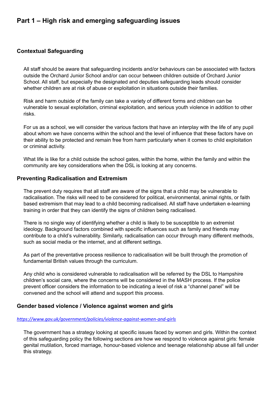# <span id="page-7-0"></span>**Part 1 – High risk and emerging safeguarding issues**

#### <span id="page-7-1"></span>**Contextual Safeguarding**

All staff should be aware that safeguarding incidents and/or behaviours can be associated with factors outside the Orchard Junior School and/or can occur between children outside of Orchard Junior School. All staff, but especially the designated and deputies safeguarding leads should consider whether children are at risk of abuse or exploitation in situations outside their families.

Risk and harm outside of the family can take a variety of different forms and children can be vulnerable to sexual exploitation, criminal exploitation, and serious youth violence in addition to other risks.

For us as a school, we will consider the various factors that have an interplay with the life of any pupil about whom we have concerns within the school and the level of influence that these factors have on their ability to be protected and remain free from harm particularly when it comes to child exploitation or criminal activity.

What life is like for a child outside the school gates, within the home, within the family and within the community are key considerations when the DSL is looking at any concerns.

#### <span id="page-7-2"></span>**Preventing Radicalisation and Extremism**

The prevent duty requires that all staff are aware of the signs that a child may be vulnerable to radicalisation. The risks will need to be considered for political, environmental, animal rights, or faith based extremism that may lead to a child becoming radicalised. All staff have undertaken e-learning training in order that they can identify the signs of children being radicalised.

There is no single way of identifying whether a child is likely to be susceptible to an extremist ideology. Background factors combined with specific influences such as family and friends may contribute to a child's vulnerability. Similarly, radicalisation can occur through many different methods, such as social media or the internet, and at different settings.

As part of the preventative process resilience to radicalisation will be built through the promotion of fundamental British values through the curriculum.

Any child who is considered vulnerable to radicalisation will be referred by the DSL to Hampshire children's social care, where the concerns will be considered in the MASH process. If the police prevent officer considers the information to be indicating a level of risk a "channel panel" will be convened and the school will attend and support this process.

#### <span id="page-7-3"></span>**Gender based violence / Violence against women and girls**

#### *<https://www.gov.uk/government/policies/violence-against-women-and-girls>*

The government has a strategy looking at specific issues faced by women and girls. Within the context of this safeguarding policy the following sections are how we respond to violence against girls: female genital mutilation, forced marriage, honour-based violence and teenage relationship abuse all fall under this strategy.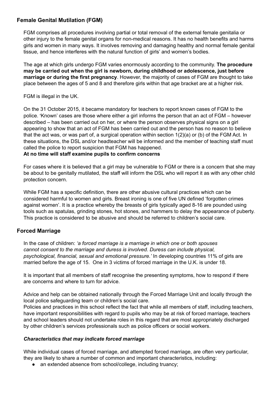## <span id="page-8-0"></span>**Female Genital Mutilation (FGM)**

FGM comprises all procedures involving partial or total removal of the external female genitalia or other injury to the female genital organs for non-medical reasons. It has no health benefits and harms girls and women in many ways. It involves removing and damaging healthy and normal female genital tissue, and hence interferes with the natural function of girls' and women's bodies.

The age at which girls undergo FGM varies enormously according to the community. **The procedure may be carried out when the girl is newborn, during childhood or adolescence, just before marriage or during the first pregnancy**. However, the majority of cases of FGM are thought to take place between the ages of 5 and 8 and therefore girls within that age bracket are at a higher risk.

FGM is illegal in the UK.

On the 31 October 2015, it became mandatory for teachers to report known cases of FGM to the police. 'Known' cases are those where either a girl informs the person that an act of FGM – however described – has been carried out on her, or where the person observes physical signs on a girl appearing to show that an act of FGM has been carried out and the person has no reason to believe that the act was, or was part of, a surgical operation within section 1(2)(a) or (b) of the FGM Act. In these situations, the DSL and/or headteacher will be informed and the member of teaching staff must called the police to report suspicion that FGM has happened.

#### **At no time will staff examine pupils to confirm concerns**

For cases where it is believed that a girl may be vulnerable to FGM or there is a concern that she may be about to be genitally mutilated, the staff will inform the DSL who will report it as with any other child protection concern.

While FGM has a specific definition, there are other abusive cultural practices which can be considered harmful to women and girls. Breast ironing is one of five UN defined 'forgotten crimes against women'. It is a practice whereby the breasts of girls typically aged 8-16 are pounded using tools such as spatulas, grinding stones, hot stones, and hammers to delay the appearance of puberty. This practice is considered to be abusive and should be referred to children's social care.

# <span id="page-8-1"></span>**Forced Marriage**

In the case of children: *'a forced marriage is a marriage in which one or both spouses cannot consent to the marriage and duress is involved. Duress can include physical, psychological, financial, sexual and emotional pressure.'* In developing countries 11% of girls are married before the age of 15. One in 3 victims of forced marriage in the U.K. is under 18.

It is important that all members of staff recognise the presenting symptoms, how to respond if there are concerns and where to turn for advice.

Advice and help can be obtained nationally through the Forced Marriage Unit and locally through the local police safeguarding team or children's social care.

Policies and practices in this school reflect the fact that while all members of staff, including teachers, have important responsibilities with regard to pupils who may be at risk of forced marriage, teachers and school leaders should not undertake roles in this regard that are most appropriately discharged by other children's services professionals such as police officers or social workers.

#### *Characteristics that may indicate forced marriage*

While individual cases of forced marriage, and attempted forced marriage, are often very particular, they are likely to share a number of common and important characteristics, including:

• an extended absence from school/college, including truancy;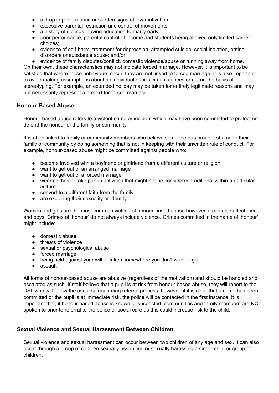- a drop in performance or sudden signs of low motivation;
- **excessive parental restriction and control of movements;**
- a history of siblings leaving education to marry early;
- poor performance, parental control of income and students being allowed only limited career choices;
- evidence of self-harm, treatment for depression, attempted suicide, social isolation, eating disorders or substance abuse; and/or
- evidence of family disputes/conflict, domestic violence/abuse or running away from home.

On their own, these characteristics may not indicate forced marriage. However, it is important to be satisfied that where these behaviours occur, they are not linked to forced marriage. It is also important to avoid making assumptions about an individual pupil's circumstances or act on the basis of stereotyping. For example, an extended holiday may be taken for entirely legitimate reasons and may not necessarily represent a pretext for forced marriage*.*

#### <span id="page-9-0"></span>**Honour-Based Abuse**

Honour-based abuse refers to a violent crime or incident which may have been committed to protect or defend the honour of the family or community.

It is often linked to family or community members who believe someone has brought shame to their family or community by doing something that is not in keeping with their unwritten rule of conduct. For example, honour-based abuse might be committed against people who:

- become involved with a boyfriend or girlfriend from a different culture or religion
- want to get out of an arranged marriage
- want to get out of a forced marriage
- wear clothes or take part in activities that might not be considered traditional within a particular culture
- convert to a different faith from the family
- are exploring their sexuality or identity

Women and girls are the most common victims of honour-based abuse however, it can also affect men and boys. Crimes of 'honour' do not always include violence. Crimes committed in the name of 'honour' might include:

- domestic abuse
- threats of violence
- sexual or psychological abuse
- forced marriage
- being held against your will or taken somewhere you don't want to go
- assault

All forms of honour-based abuse are abusive (regardless of the motivation) and should be handled and escalated as such. If staff believe that a pupil is at risk from honour based abuse, they will report to the DSL who will follow the usual safeguarding referral process; however, if it is clear that a crime has been committed or the pupil is at immediate risk, the police will be contacted in the first instance. It is important that, if honour based abuse is known or suspected, communities and family members are NOT spoken to prior to referral to the police or social care as this could increase risk to the child.

# <span id="page-9-1"></span>**Sexual Violence and Sexual Harassment Between Children**

Sexual violence and sexual harassment can occur between two children of any age and sex. It can also occur through a group of children sexually assaulting or sexually harassing a single child or group of children.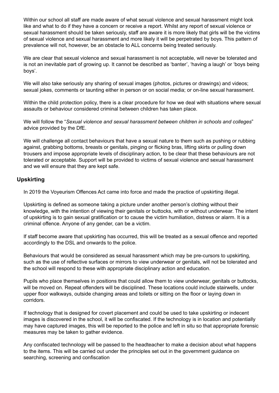Within our school all staff are made aware of what sexual violence and sexual harassment might look like and what to do if they have a concern or receive a report. Whilst any report of sexual violence or sexual harassment should be taken seriously, staff are aware it is more likely that girls will be the victims of sexual violence and sexual harassment and more likely it will be perpetrated by boys. This pattern of prevalence will not, however, be an obstacle to ALL concerns being treated seriously.

We are clear that sexual violence and sexual harassment is not acceptable, will never be tolerated and is not an inevitable part of growing up. It cannot be described as 'banter', 'having a laugh' or 'boys being boys'.

We will also take seriously any sharing of sexual images (photos, pictures or drawings) and videos; sexual jokes, comments or taunting either in person or on social media; or on-line sexual harassment.

Within the child protection policy, there is a clear procedure for how we deal with situations where sexual assaults or behaviour considered criminal between children has taken place.

We will follow the "*Sexual violence and sexual harassment between children in schools and colleges*" advice provided by the DfE.

We will challenge all contact behaviours that have a sexual nature to them such as pushing or rubbing against, grabbing bottoms, breasts or genitals, pinging or flicking bras, lifting skirts or pulling down trousers and impose appropriate levels of disciplinary action, to be clear that these behaviours are not tolerated or acceptable. Support will be provided to victims of sexual violence and sexual harassment and we will ensure that they are kept safe.

# <span id="page-10-0"></span>**Upskirting**

In 2019 the Voyeurism Offences Act came into force and made the practice of upskirting illegal.

Upskirting is defined as someone taking a picture under another person's clothing without their knowledge, with the intention of viewing their genitals or buttocks, with or without underwear. The intent of upskirting is to gain sexual gratification or to cause the victim humiliation, distress or alarm. It is a criminal offence. Anyone of any gender, can be a victim.

If staff become aware that upskirting has occurred, this will be treated as a sexual offence and reported accordingly to the DSL and onwards to the police.

Behaviours that would be considered as sexual harassment which may be pre-cursors to upskirting, such as the use of reflective surfaces or mirrors to view underwear or genitals, will not be tolerated and the school will respond to these with appropriate disciplinary action and education.

Pupils who place themselves in positions that could allow them to view underwear, genitals or buttocks, will be moved on. Repeat offenders will be disciplined. These locations could include stairwells, under upper floor walkways, outside changing areas and toilets or sitting on the floor or laying down in corridors.

If technology that is designed for covert placement and could be used to take upskirting or indecent images is discovered in the school, it will be confiscated. If the technology is in location and potentially may have captured images, this will be reported to the police and left in situ so that appropriate forensic measures may be taken to gather evidence.

Any confiscated technology will be passed to the headteacher to make a decision about what happens to the items. This will be carried out under the principles set out in the government guidance on searching, screening and confiscation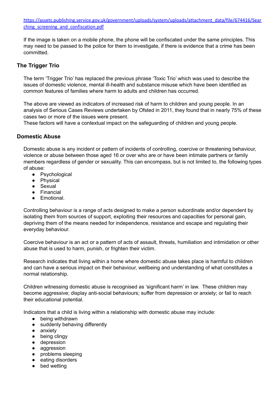[https://assets.publishing.service.gov.uk/government/uploads/system/uploads/attachment\\_data/file/674416/Sear](https://assets.publishing.service.gov.uk/government/uploads/system/uploads/attachment_data/file/674416/Searching_screening_and_confiscation.pdf) ching screening and confiscation.pdf

If the image is taken on a mobile phone, the phone will be confiscated under the same principles. This may need to be passed to the police for them to investigate, if there is evidence that a crime has been committed.

## <span id="page-11-0"></span>**The Trigger Trio**

The term 'Trigger Trio' has replaced the previous phrase 'Toxic Trio' which was used to describe the issues of domestic violence, mental ill-health and substance misuse which have been identified as common features of families where harm to adults and children has occurred.

The above are viewed as indicators of increased risk of harm to children and young people. In an analysis of Serious Cases Reviews undertaken by Ofsted in 2011, they found that in nearly 75% of these cases two or more of the issues were present.

These factors will have a contextual impact on the safeguarding of children and young people.

#### <span id="page-11-1"></span>**Domestic Abuse**

Domestic abuse is any incident or pattern of incidents of controlling, coercive or threatening behaviour, violence or abuse between those aged 16 or over who are or have been intimate partners or family members regardless of gender or sexuality. This can encompass, but is not limited to, the following types of abuse:

- Psychological
- Physical
- Sexual
- Financial
- Emotional.

Controlling behaviour is a range of acts designed to make a person subordinate and/or dependent by isolating them from sources of support, exploiting their resources and capacities for personal gain, depriving them of the means needed for independence, resistance and escape and regulating their everyday behaviour.

Coercive behaviour is an act or a pattern of acts of assault, threats, humiliation and intimidation or other abuse that is used to harm, punish, or frighten their victim.

Research indicates that living within a home where domestic abuse takes place is harmful to children and can have a serious impact on their behaviour, wellbeing and understanding of what constitutes a normal relationship.

Children witnessing domestic abuse is recognised as 'significant harm' in law. These children may become aggressive; display anti-social behaviours; suffer from depression or anxiety; or fail to reach their educational potential.

Indicators that a child is living within a relationship with domestic abuse may include:

- being withdrawn
- suddenly behaving differently
- anxiety
- being clingy
- depression
- aggression
- problems sleeping
- eating disorders
- bed wetting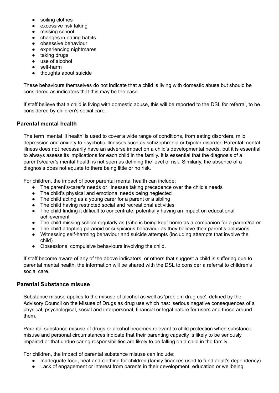- soiling clothes
- **excessive risk taking**
- missing school
- changes in eating habits
- obsessive behaviour
- experiencing nightmares
- taking drugs
- use of alcohol
- self-harm
- thoughts about suicide

These behaviours themselves do not indicate that a child is living with domestic abuse but should be considered as indicators that this may be the case.

If staff believe that a child is living with domestic abuse, this will be reported to the DSL for referral, to be considered by children's social care.

# <span id="page-12-0"></span>**Parental mental health**

The term 'mental ill health' is used to cover a wide range of conditions, from eating disorders, mild depression and anxiety to psychotic illnesses such as schizophrenia or bipolar disorder. Parental mental illness does not necessarily have an adverse impact on a child's developmental needs, but it is essential to always assess its implications for each child in the family. It is essential that the diagnosis of a parent's/carer's mental health is not seen as defining the level of risk. Similarly, the absence of a diagnosis does not equate to there being little or no risk.

For children, the impact of poor parental mental health can include:

- The parent's/carer's needs or illnesses taking precedence over the child's needs
- The child's physical and emotional needs being neglected
- The child acting as a young carer for a parent or a sibling
- The child having restricted social and recreational activities
- The child finding it difficult to concentrate, potentially having an impact on educational achievement
- The child missing school regularly as (s)he is being kept home as a companion for a parent/carer
- The child adopting paranoid or suspicious behaviour as they believe their parent's delusions ● Witnessing self-harming behaviour and suicide attempts (including attempts that involve the
- child) ● Obsessional compulsive behaviours involving the child.

If staff become aware of any of the above indicators, or others that suggest a child is suffering due to parental mental health, the information will be shared with the DSL to consider a referral to children's social care.

#### <span id="page-12-1"></span>**Parental Substance misuse**

Substance misuse applies to the misuse of alcohol as well as 'problem drug use', defined by the Advisory Council on the Misuse of Drugs as drug use which has: 'serious negative consequences of a physical, psychological, social and interpersonal, financial or legal nature for users and those around them.

Parental substance misuse of drugs or alcohol becomes relevant to child protection when substance misuse and personal circumstances indicate that their parenting capacity is likely to be seriously impaired or that undue caring responsibilities are likely to be falling on a child in the family.

For children, the impact of parental substance misuse can include:

- Inadequate food, heat and clothing for children (family finances used to fund adult's dependency)
- Lack of engagement or interest from parents in their development, education or wellbeing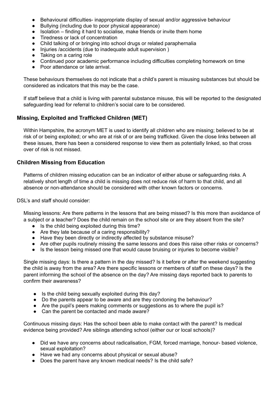- Behavioural difficulties- inappropriate display of sexual and/or aggressive behaviour
- Bullying (including due to poor physical appearance)
- Isolation finding it hard to socialise, make friends or invite them home
- Tiredness or lack of concentration
- Child talking of or bringing into school drugs or related paraphernalia
- Injuries /accidents (due to inadequate adult supervision)
- Taking on a caring role
- Continued poor academic performance including difficulties completing homework on time
- Poor attendance or late arrival.

These behaviours themselves do not indicate that a child's parent is misusing substances but should be considered as indicators that this may be the case.

If staff believe that a child is living with parental substance misuse, this will be reported to the designated safeguarding lead for referral to children's social care to be considered.

# <span id="page-13-0"></span>**Missing, Exploited and Trafficked Children (MET)**

Within Hampshire, the acronym MET is used to identify all children who are missing; believed to be at risk of or being exploited; or who are at risk of or are being trafficked. Given the close links between all these issues, there has been a considered response to view them as potentially linked, so that cross over of risk is not missed.

# <span id="page-13-1"></span>**Children Missing from Education**

Patterns of children missing education can be an indicator of either abuse or safeguarding risks. A relatively short length of time a child is missing does not reduce risk of harm to that child, and all absence or non-attendance should be considered with other known factors or concerns.

DSL's and staff should consider:

Missing lessons: Are there patterns in the lessons that are being missed? Is this more than avoidance of a subject or a teacher? Does the child remain on the school site or are they absent from the site?

- Is the child being exploited during this time?
- Are they late because of a caring responsibility?
- Have they been directly or indirectly affected by substance misuse?
- Are other pupils routinely missing the same lessons and does this raise other risks or concerns?
- Is the lesson being missed one that would cause bruising or injuries to become visible?

Single missing days: Is there a pattern in the day missed? Is it before or after the weekend suggesting the child is away from the area? Are there specific lessons or members of staff on these days? Is the parent informing the school of the absence on the day? Are missing days reported back to parents to confirm their awareness?

- Is the child being sexually exploited during this day?
- Do the parents appear to be aware and are they condoning the behaviour?
- Are the pupil's peers making comments or suggestions as to where the pupil is?
- Can the parent be contacted and made aware?

Continuous missing days: Has the school been able to make contact with the parent? Is medical evidence being provided? Are siblings attending school (either our or local schools)?

- Did we have any concerns about radicalisation, FGM, forced marriage, honour- based violence, sexual exploitation?
- Have we had any concerns about physical or sexual abuse?
- Does the parent have any known medical needs? Is the child safe?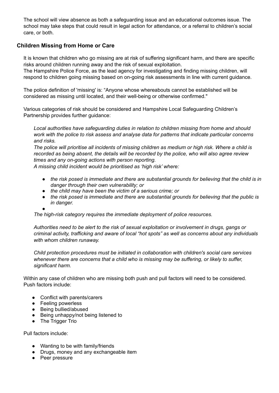The school will view absence as both a safeguarding issue and an educational outcomes issue. The school may take steps that could result in legal action for attendance, or a referral to children's social care, or both.

# <span id="page-14-0"></span>**Children Missing from Home or Care**

It is known that children who go missing are at risk of suffering significant harm, and there are specific risks around children running away and the risk of sexual exploitation.

The Hampshire Police Force, as the lead agency for investigating and finding missing children, will respond to children going missing based on on-going risk assessments in line with current guidance.

The police definition of 'missing' is: "Anyone whose whereabouts cannot be established will be considered as missing until located, and their well-being or otherwise confirmed."

Various categories of risk should be considered and Hampshire Local Safeguarding Children's Partnership provides further guidance:

*Local authorities have safeguarding duties in relation to children missing from home and should work with the police to risk assess and analyse data for patterns that indicate particular concerns and risks.*

The police will prioritise all incidents of missing children as medium or high risk. Where a child is *recorded as being absent, the details will be recorded by the police, who will also agree review times and any on-going actions with person reporting.*

*A missing child incident would be prioritised as 'high risk' where:*

- *● the risk posed is immediate and there are substantial grounds for believing that the child is in danger through their own vulnerability; or*
- *● the child may have been the victim of a serious crime; or*
- *● the risk posed is immediate and there are substantial grounds for believing that the public is in danger.*

*● The high-risk category requires the immediate deployment of police resources.*

*Authorities need to be alert to the risk of sexual exploitation or involvement in drugs, gangs or criminal activity, trafficking and aware of local "hot spots" as well as concerns about any individuals with whom children runaway.*

*Child protection procedures must be initiated in collaboration with children's social care services whenever there are concerns that a child who is missing may be suffering, or likely to suffer, significant harm.*

Within any case of children who are missing both push and pull factors will need to be considered. Push factors include:

- Conflict with parents/carers
- Feeling powerless
- Being bullied/abused
- Being unhappy/not being listened to
- The Trigger Trio

Pull factors include:

- Wanting to be with family/friends
- Drugs, money and any exchangeable item
- Peer pressure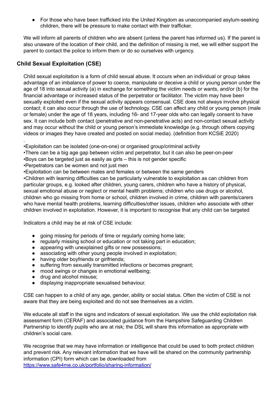For those who have been trafficked into the United Kingdom as unaccompanied asylum-seeking children, there will be pressure to make contact with their trafficker.

We will inform all parents of children who are absent (unless the parent has informed us). If the parent is also unaware of the location of their child, and the definition of missing is met, we will either support the parent to contact the police to inform them or do so ourselves with urgency.

# <span id="page-15-0"></span>**Child Sexual Exploitation (CSE)**

.

Child sexual exploitation is a form of child sexual abuse. It occurs when an individual or group takes advantage of an imbalance of power to coerce, manipulate or deceive a child or young person under the age of 18 into sexual activity (a) in exchange for something the victim needs or wants, and/or (b) for the financial advantage or increased status of the perpetrator or facilitator. The victim may have been sexually exploited even if the sexual activity appears consensual. CSE does not always involve physical contact; it can also occur through the use of technology. CSE can affect any child or young person (male or female) under the age of 18 years, including 16- and 17-year olds who can legally consent to have sex. It can include both contact (penetrative and non-penetrative acts) and non-contact sexual activity and may occur without the child or young person's immediate knowledge (e.g. through others copying videos or images they have created and posted on social media). (definition from KCSiE 2020)

- •Boys can be targeted just as easily as girls this is not gender specific
- •Perpetrators can be women and not just men

•Exploitation can be between males and females or between the same genders

•Children with learning difficulties can be particularly vulnerable to exploitation as can children from particular groups, e.g. looked after children, young carers, children who have a history of physical, sexual emotional abuse or neglect or mental health problems; children who use drugs or alcohol, children who go missing from home or school, children involved in crime, children with parents/carers who have mental health problems, learning difficulties/other issues, children who associate with other children involved in exploitation. However, it is important to recognise that any child can be targeted

Indicators a child may be at risk of CSE include:

- going missing for periods of time or regularly coming home late:
- regularly missing school or education or not taking part in education;
- appearing with unexplained gifts or new possessions;
- associating with other young people involved in exploitation;
- having older boyfriends or girlfriends:
- suffering from sexually transmitted infections or becomes pregnant;
- mood swings or changes in emotional wellbeing;
- drug and alcohol misuse;
- displaying inappropriate sexualised behaviour.

CSE can happen to a child of any age, gender, ability or social status. Often the victim of CSE is not aware that they are being exploited and do not see themselves as a victim.

We educate all staff in the signs and indicators of sexual exploitation. We use the child exploitation risk assessment form ([CERAF\)](http://www.hampshiresafeguardingchildrenboard.org.uk/user_controlled_lcms_area/uploaded_files/SERAF%20Risk%20Assessment%20Form%20UPDATED%20Sept%202015%20%282%29.doc) and [associated](http://www.hampshiresafeguardingchildrenboard.org.uk/user_controlled_lcms_area/uploaded_files/SERAF%20Risk%20Assessment%20-%20Scoring%20Guidance_%28HF000005713337%29.doc) guidance from the Hampshire Safeguarding Children Partnership to identify pupils who are at risk; the DSL will share this information as appropriate with children's social care.

We recognise that we may have information or intelligence that could be used to both protect children and prevent risk. Any relevant information that we have will be shared on the community partnership information (CPI) form which can be downloaded from <https://www.safe4me.co.uk/portfolio/sharing-information/>

<sup>•</sup>Exploitation can be isolated (one-on-one) or organised group/criminal activity

<sup>•</sup>There can be a big age gap between victim and perpetrator, but it can also be peer-on-peer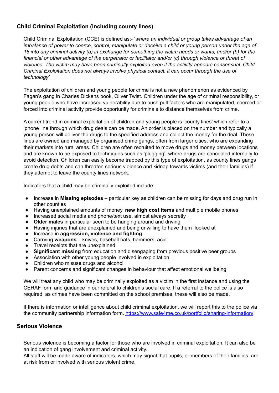# <span id="page-16-0"></span>**Child Criminal Exploitation (including county lines)**

Child Criminal Exploitation (CCE) is defined as:- '*where an individual or group takes advantage of an* imbalance of power to coerce, control, manipulate or deceive a child or young person under the age of 18 into any criminal activity (a) in exchange for something the victim needs or wants, and/or (b) for the *financial or other advantage of the perpetrator or facilitator and/or (c) through violence or threat of violence. The victim may have been criminally exploited even if the activity appears consensual. Child Criminal Exploitation does not always involve physical contact, it can occur through the use of technology'*

The exploitation of children and young people for crime is not a new phenomenon as evidenced by Fagan's gang in Charles Dickens book, Oliver Twist. Children under the age of criminal responsibility, or young people who have increased vulnerability due to push:pull factors who are manipulated, coerced or forced into criminal activity provide opportunity for criminals to distance themselves from crime.

A current trend in criminal exploitation of children and young people is 'county lines' which refer to a 'phone line through which drug deals can be made. An order is placed on the number and typically a young person will deliver the drugs to the specified address and collect the money for the deal. These lines are owned and managed by organised crime gangs, often from larger cities, who are expanding their markets into rural areas. Children are often recruited to move drugs and money between locations and are known to be exposed to techniques such as 'plugging', where drugs are concealed internally to avoid detection. Children can easily become trapped by this type of exploitation, as county lines gangs create drug debts and can threaten serious violence and kidnap towards victims (and their families) if they attempt to leave the county lines network.

Indicators that a child may be criminally exploited include:

- Increase in **Missing episodes** particular key as children can be missing for days and drug run in other counties
- Having unexplained amounts of money, **new high cost items** and multiple mobile phones
- Increased social media and phone/text use, almost always secretly
- **Older males** in particular seen to be hanging around and driving
- Having injuries that are unexplained and being unwilling to have them looked at
- Increase in **aggression, violence and fighting**
- Carrying **weapons** knives, baseball bats, hammers, acid
- Travel receipts that are unexplained
- **Significant missing** from education and disengaging from previous positive peer groups
- Association with other young people involved in exploitation
- Children who misuse drugs and alcohol
- Parent concerns and significant changes in behaviour that affect emotional wellbeing

We will treat any child who may be criminally exploited as a victim in the first instance and using the CERAF form and guidance in our referal to children's social care. If a referral to the police is also required, as crimes have been committed on the school premises, these will also be made.

If there is information or intelligence about child criminal exploitation, we will report this to the police via the community partnership information form. <https://www.safe4me.co.uk/portfolio/sharing-information/>

#### <span id="page-16-1"></span>**Serious Violence**

Serious violence is becoming a factor for those who are involved in criminal exploitation. It can also be an indication of gang involvement and criminal activity.

All staff will be made aware of indicators, which may signal that pupils, or members of their families, are at risk from or involved with serious violent crime.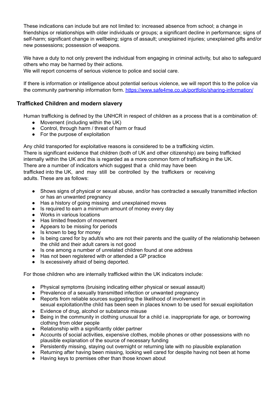These indications can include but are not limited to: increased absence from school; a change in friendships or relationships with older individuals or groups; a significant decline in performance; signs of self-harm; significant change in wellbeing; signs of assault; unexplained injuries; unexplained gifts and/or new possessions; possession of weapons.

We have a duty to not only prevent the individual from engaging in criminal activity, but also to safeguard others who may be harmed by their actions.

We will report concerns of serious violence to police and social care.

If there is information or intelligence about potential serious violence, we will report this to the police via the community partnership information form. <https://www.safe4me.co.uk/portfolio/sharing-information/>

# <span id="page-17-0"></span>**Trafficked Children and modern slavery**

Human trafficking is defined by the UNHCR in respect of children as a process that is a combination of:

- Movement (including within the UK)
- Control, through harm / threat of harm or fraud
- For the purpose of exploitation

Any child transported for exploitative reasons is considered to be a trafficking victim. There is significant evidence that children (both of UK and other citizenship) are being trafficked internally within the UK and this is regarded as a more common form of trafficking in the UK. There are a number of indicators which suggest that a child may have been trafficked into the UK, and may still be controlled by the traffickers or receiving

adults. These are as follows:

- Shows signs of physical or sexual abuse, and/or has contracted a sexually transmitted infection or has an unwanted pregnancy
- Has a history of going missing and unexplained moves
- Is required to earn a minimum amount of money every day
- Works in various locations
- Has limited freedom of movement
- Appears to be missing for periods
- Is known to beg for money
- Is being cared for by adult/s who are not their parents and the quality of the relationship between the child and their adult carers is not good
- Is one among a number of unrelated children found at one address
- Has not been registered with or attended a GP practice
- Is excessively afraid of being deported.

For those children who are internally trafficked within the UK indicators include:

- Physical symptoms (bruising indicating either physical or sexual assault)
- Prevalence of a sexually transmitted infection or unwanted pregnancy
- Reports from reliable sources suggesting the likelihood of involvement in sexual exploitation/the child has been seen in places known to be used for sexual exploitation
- Evidence of drug, alcohol or substance misuse
- Being in the community in clothing unusual for a child i.e. inappropriate for age, or borrowing clothing from older people
- Relationship with a significantly older partner
- Accounts of social activities, expensive clothes, mobile phones or other possessions with no plausible explanation of the source of necessary funding
- Persistently missing, staying out overnight or returning late with no plausible explanation
- Returning after having been missing, looking well cared for despite having not been at home
- Having keys to premises other than those known about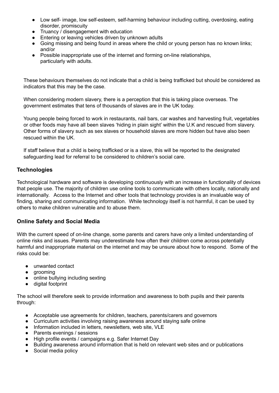- Low self- image, low self-esteem, self-harming behaviour including cutting, overdosing, eating disorder, promiscuity
- Truancy / disengagement with education
- Entering or leaving vehicles driven by unknown adults
- Going missing and being found in areas where the child or young person has no known links; and/or
- Possible inappropriate use of the internet and forming on-line relationships, particularly with adults.

These behaviours themselves do not indicate that a child is being trafficked but should be considered as indicators that this may be the case.

When considering modern slavery, there is a perception that this is taking place overseas. The government estimates that tens of thousands of slaves are in the UK today.

Young people being forced to work in restaurants, nail bars, car washes and harvesting fruit, vegetables or other foods may have all been slaves 'hiding in plain sight' within the U.K and rescued from slavery. Other forms of slavery such as sex slaves or household slaves are more hidden but have also been rescued within the UK.

If staff believe that a child is being trafficked or is a slave, this will be reported to the designated safeguarding lead for referral to be considered to children's social care.

# <span id="page-18-0"></span>**Technologies**

Technological hardware and software is developing continuously with an increase in functionality of devices that people use. The majority of children use online tools to communicate with others locally, nationally and internationally. Access to the Internet and other tools that technology provides is an invaluable way of finding, sharing and communicating information. While technology itself is not harmful, it can be used by others to make children vulnerable and to abuse them.

#### <span id="page-18-1"></span>**Online Safety and Social Media**

With the current speed of on-line change, some parents and carers have only a limited understanding of online risks and issues. Parents may underestimate how often their children come across potentially harmful and inappropriate material on the internet and may be unsure about how to respond. Some of the risks could be:

- unwanted contact
- arooming
- online bullying including sexting
- digital footprint

The school will therefore seek to provide information and awareness to both pupils and their parents through:

- Acceptable use agreements for children, teachers, parents/carers and governors
- Curriculum activities involving raising awareness around staying safe online
- Information included in letters, newsletters, web site, VLE
- Parents evenings / sessions
- High profile events / campaigns e.g. Safer Internet Day
- Building awareness around information that is held on relevant web sites and or publications
- Social media policy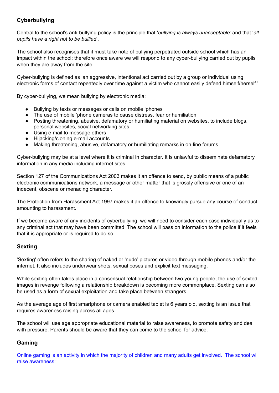# <span id="page-19-0"></span>**Cyberbullying**

Central to the school's anti-bullying policy is the principle that '*bullying is always unacceptable'* and that '*all pupils have a right not to be bullied*'.

The school also recognises that it must take note of bullying perpetrated outside school which has an impact within the school; therefore once aware we will respond to any cyber-bullying carried out by pupils when they are away from the site.

Cyber-bullying is defined as 'an aggressive, intentional act carried out by a group or individual using electronic forms of contact repeatedly over time against a victim who cannot easily defend himself/herself.'

By cyber-bullying, we mean bullying by electronic media:

- Bullying by texts or messages or calls on mobile 'phones
- The use of mobile 'phone cameras to cause distress, fear or humiliation
- Posting threatening, abusive, defamatory or humiliating material on websites, to include blogs, personal websites, social networking sites
- Using e-mail to message others
- Hijacking/cloning e-mail accounts
- Making threatening, abusive, defamatory or humiliating remarks in on-line forums

Cyber-bullying may be at a level where it is criminal in character. It is unlawful to disseminate defamatory information in any media including internet sites.

Section 127 of the Communications Act 2003 makes it an offence to send, by public means of a public electronic communications network, a message or other matter that is grossly offensive or one of an indecent, obscene or menacing character.

The Protection from Harassment Act 1997 makes it an offence to knowingly pursue any course of conduct amounting to harassment.

If we become aware of any incidents of cyberbullying, we will need to consider each case individually as to any criminal act that may have been committed. The school will pass on information to the police if it feels that it is appropriate or is required to do so.

# <span id="page-19-1"></span>**Sexting**

'Sexting' often refers to the sharing of naked or 'nude' pictures or video through mobile phones and/or the internet. It also includes underwear shots, sexual poses and explicit text messaging.

While sexting often takes place in a consensual relationship between two young people, the use of sexted images in revenge following a relationship breakdown is becoming more commonplace. Sexting can also be used as a form of sexual exploitation and take place between strangers.

As the average age of first smartphone or camera enabled tablet is 6 years old, sexting is an issue that requires awareness raising across all ages.

The school will use age appropriate educational material to raise awareness, to promote safety and deal with pressure. Parents should be aware that they can come to the school for advice.

# <span id="page-19-2"></span>**Gaming**

Online gaming is an activity in which the majority of children and many adults get involved. The school will raise awareness: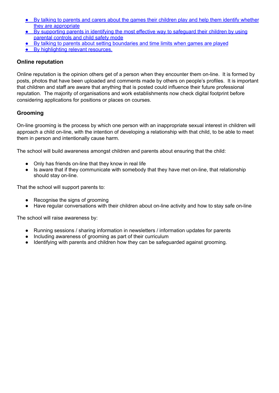- By talking to parents and carers about the games their children play and help them identify whether they are appropriate
- By supporting parents in identifying the most effective way to safeguard their children by using parental controls and child safety mode
- By talking to parents about setting boundaries and time limits when games are played
- By highlighting relevant resources.

#### <span id="page-20-0"></span>**Online reputation**

Online reputation is the opinion others get of a person when they encounter them on-line. It is formed by posts, photos that have been uploaded and comments made by others on people's profiles. It is important that children and staff are aware that anything that is posted could influence their future professional reputation. The majority of organisations and work establishments now check digital footprint before considering applications for positions or places on courses.

# <span id="page-20-1"></span>**Grooming**

On-line grooming is the process by which one person with an inappropriate sexual interest in children will approach a child on-line, with the intention of developing a relationship with that child, to be able to meet them in person and intentionally cause harm.

The school will build awareness amongst children and parents about ensuring that the child:

- Only has friends on-line that they know in real life
- Is aware that if they communicate with somebody that they have met on-line, that relationship should stay on-line.

That the school will support parents to:

- Recognise the signs of grooming
- Have regular conversations with their children about on-line activity and how to stay safe on-line

The school will raise awareness by:

- Running sessions / sharing information in newsletters / information updates for parents
- Including awareness of grooming as part of their curriculum
- Identifying with parents and children how they can be safeguarded against grooming.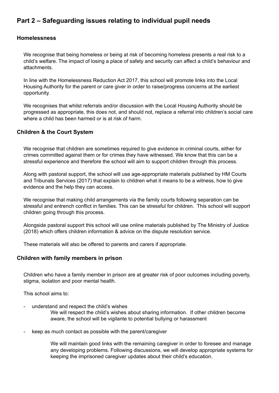# <span id="page-21-0"></span>**Part 2 – Safeguarding issues relating to individual pupil needs**

#### <span id="page-21-1"></span>**Homelessness**

We recognise that being homeless or being at risk of becoming homeless presents a real risk to a child's welfare. The impact of losing a place of safety and security can affect a child's behaviour and attachments.

In line with the Homelessness Reduction Act 2017, this school will promote links into the Local Housing Authority for the parent or care giver in order to raise/progress concerns at the earliest opportunity.

We recognises that whilst referrals and/or discussion with the Local Housing Authority should be progressed as appropriate, this does not, and should not, replace a referral into children's social care where a child has been harmed or is at risk of harm.

#### <span id="page-21-2"></span>**Children & the Court System**

We recognise that children are sometimes required to give evidence in criminal courts, either for crimes committed against them or for crimes they have witnessed. We know that this can be a stressful experience and therefore the school will aim to support children through this process.

Along with pastoral support, the school will use age-appropriate materials published by HM Courts and Tribunals Services (2017) that explain to children what it means to be a witness, how to give evidence and the help they can access.

We recognise that making child arrangements via the family courts following separation can be stressful and entrench conflict in families. This can be stressful for children. This school will support children going through this process.

Alongside pastoral support this school will use online materials published by The Ministry of Justice (2018) which offers children information & advice on the dispute resolution service.

These materials will also be offered to parents and carers if appropriate.

#### <span id="page-21-3"></span>**Children with family members in prison**

Children who have a family member in prison are at greater risk of poor outcomes including poverty, stigma, isolation and poor mental health.

This school aims to:

- understand and respect the child's wishes

We will respect the child's wishes about sharing information. If other children become aware, the school will be vigilante to potential bullying or harassment

keep as much contact as possible with the parent/caregiver

We will maintain good links with the remaining caregiver in order to foresee and manage any developing problems. Following discussions, we will develop appropriate systems for keeping the imprisoned caregiver updates about their child's education.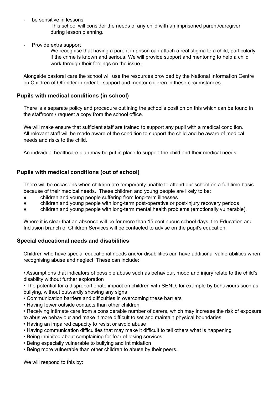be sensitive in lessons

This school will consider the needs of any child with an imprisoned parent/caregiver during lesson planning.

Provide extra support

We recognise that having a parent in prison can attach a real stigma to a child, particularly if the crime is known and serious. We will provide support and mentoring to help a child work through their feelings on the issue.

Alongside pastoral care the school will use the resources provided by the National Information Centre on Children of Offender in order to support and mentor children in these circumstances.

## <span id="page-22-0"></span>**Pupils with medical conditions (in school)**

There is a separate policy and procedure outlining the school's position on this which can be found in the staffroom / request a copy from the school office.

We will make ensure that sufficient staff are trained to support any pupil with a medical condition. All relevant staff will be made aware of the condition to support the child and be aware of medical needs and risks to the child.

An individual healthcare plan may be put in place to support the child and their medical needs.

# <span id="page-22-1"></span>**Pupils with medical conditions (out of school)**

There will be occasions when children are temporarily unable to attend our school on a full-time basis because of their medical needs. These children and young people are likely to be:

- children and young people suffering from long-term illnesses
- children and young people with long-term post-operative or post-injury recovery periods
- children and young people with long-term mental health problems (emotionally vulnerable).

Where it is clear that an absence will be for more than 15 continuous school days, the Education and Inclusion branch of Children Services will be contacted to advise on the pupil's education.

#### <span id="page-22-2"></span>**Special educational needs and disabilities**

Children who have special educational needs and/or disabilities can have additional vulnerabilities when recognising abuse and neglect. These can include:

• Assumptions that indicators of possible abuse such as behaviour, mood and injury relate to the child's disability without further exploration

• The potential for a disproportionate impact on children with SEND, for example by behaviours such as bullying, without outwardly showing any signs

- Communication barriers and difficulties in overcoming these barriers
- Having fewer outside contacts than other children
- Receiving intimate care from a considerable number of carers, which may increase the risk of exposure to abusive behaviour and make it more difficult to set and maintain physical boundaries
- Having an impaired capacity to resist or avoid abuse
- Having communication difficulties that may make it difficult to tell others what is happening
- Being inhibited about complaining for fear of losing services
- Being especially vulnerable to bullying and intimidation
- Being more vulnerable than other children to abuse by their peers.

We will respond to this by: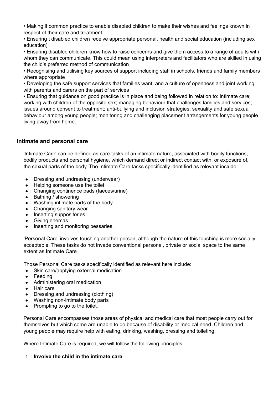• Making it common practice to enable disabled children to make their wishes and feelings known in respect of their care and treatment

• Ensuring t disabled children receive appropriate personal, health and social education (including sex education)

• Ensuring disabled children know how to raise concerns and give them access to a range of adults with whom they can communicate. This could mean using interpreters and facilitators who are skilled in using the child's preferred method of communication

• Recognising and utilising key sources of support including staff in schools, friends and family members where appropriate

• Developing the safe support services that families want, and a culture of openness and joint working with parents and carers on the part of services

• Ensuring that guidance on good practice is in place and being followed in relation to: intimate care; working with children of the opposite sex; managing behaviour that challenges families and services; issues around consent to treatment; anti-bullying and inclusion strategies; sexuality and safe sexual behaviour among young people; monitoring and challenging placement arrangements for young people living away from home.

# <span id="page-23-0"></span>**Intimate and personal care**

'Intimate Care' can be defined as care tasks of an intimate nature, associated with bodily functions, bodily products and personal hygiene, which demand direct or indirect contact with, or exposure of, the sexual parts of the body. The Intimate Care tasks specifically identified as relevant include:

- Dressing and undressing (underwear)
- Helping someone use the toilet
- Changing continence pads (faeces/urine)
- Bathing / showering
- Washing intimate parts of the body
- Changing sanitary wear
- Inserting suppositories
- Giving enemas
- Inserting and monitoring pessaries.

'Personal Care' involves touching another person, although the nature of this touching is more socially acceptable. These tasks do not invade conventional personal, private or social space to the same extent as Intimate Care

Those Personal Care tasks specifically identified as relevant here include:

- Skin care/applying external medication
- Feeding

.

- Administering oral medication
- Hair care
- Dressing and undressing (clothing)
- Washing non-intimate body parts
- Prompting to go to the toilet.

Personal Care encompasses those areas of physical and medical care that most people carry out for themselves but which some are unable to do because of disability or medical need. Children and young people may require help with eating, drinking, washing, dressing and toileting.

Where Intimate Care is required, we will follow the following principles:

#### 1. **Involve the child in the intimate care**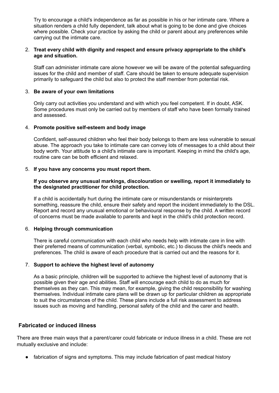Try to encourage a child's independence as far as possible in his or her intimate care. Where a situation renders a child fully dependent, talk about what is going to be done and give choices where possible. Check your practice by asking the child or parent about any preferences while carrying out the intimate care.

#### 2. **Treat every child with dignity and respect and ensure privacy appropriate to the child's age and situation.**

Staff can administer intimate care alone however we will be aware of the potential safeguarding issues for the child and member of staff. Care should be taken to ensure adequate supervision primarily to safeguard the child but also to protect the staff member from potential risk.

#### 3. **Be aware of your own limitations**

Only carry out activities you understand and with which you feel competent. If in doubt, ASK. Some procedures must only be carried out by members of staff who have been formally trained and assessed.

#### 4. **Promote positive self-esteem and body image**

Confident, self-assured children who feel their body belongs to them are less vulnerable to sexual abuse. The approach you take to intimate care can convey lots of messages to a child about their body worth. Your attitude to a child's intimate care is important. Keeping in mind the child's age, routine care can be both efficient and relaxed.

#### 5. **If you have any concerns you must report them.**

#### **If you observe any unusual markings, discolouration or swelling, report it immediately to the designated practitioner for child protection.**

If a child is accidentally hurt during the intimate care or misunderstands or misinterprets something, reassure the child, ensure their safety and report the incident immediately to the DSL. Report and record any unusual emotional or behavioural response by the child. A written record of concerns must be made available to parents and kept in the child's child protection record.

#### 6. **Helping through communication**

There is careful communication with each child who needs help with intimate care in line with their preferred means of communication (verbal, symbolic, etc.) to discuss the child's needs and preferences. The child is aware of each procedure that is carried out and the reasons for it.

#### 7. **Support to achieve the highest level of autonomy**

As a basic principle, children will be supported to achieve the highest level of autonomy that is possible given their age and abilities. Staff will encourage each child to do as much for themselves as they can. This may mean, for example, giving the child responsibility for washing themselves. Individual intimate care plans will be drawn up for particular children as appropriate to suit the circumstances of the child. These plans include a full risk assessment to address issues such as moving and handling, personal safety of the child and the carer and health.

#### <span id="page-24-0"></span>**Fabricated or induced illness**

There are three main ways that a parent/carer could fabricate or induce illness in a child. These are not mutually exclusive and include:

• fabrication of signs and symptoms. This may include fabrication of past medical history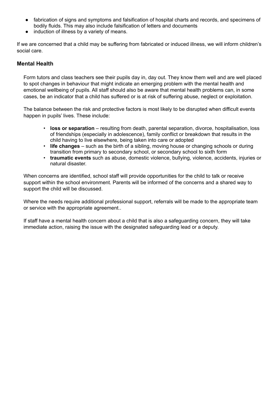- fabrication of signs and symptoms and falsification of hospital charts and records, and specimens of bodily fluids. This may also include falsification of letters and documents
- induction of illness by a variety of means.

If we are concerned that a child may be suffering from fabricated or induced illness, we will inform children's social care.

# <span id="page-25-0"></span>**Mental Health**

Form tutors and class teachers see their pupils day in, day out. They know them well and are well placed to spot changes in behaviour that might indicate an emerging problem with the mental health and emotional wellbeing of pupils. All staff should also be aware that mental health problems can, in some cases, be an indicator that a child has suffered or is at risk of suffering abuse, neglect or exploitation.

The balance between the risk and protective factors is most likely to be disrupted when difficult events happen in pupils' lives. These include:

- **loss or separation** resulting from death, parental separation, divorce, hospitalisation, loss of friendships (especially in adolescence), family conflict or breakdown that results in the child having to live elsewhere, being taken into care or adopted
- **life changes** such as the birth of a sibling, moving house or changing schools or during transition from primary to secondary school, or secondary school to sixth form
- **traumatic events** such as abuse, domestic violence, bullying, violence, accidents, injuries or natural disaster.

When concerns are identified, school staff will provide opportunities for the child to talk or receive support within the school environment. Parents will be informed of the concerns and a shared way to support the child will be discussed.

Where the needs require additional professional support, referrals will be made to the appropriate team or service with the appropriate agreement..

If staff have a mental health concern about a child that is also a safeguarding concern, they will take immediate action, raising the issue with the designated safeguarding lead or a deputy.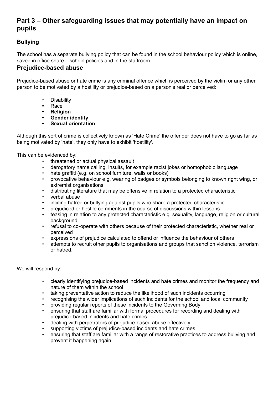# <span id="page-26-0"></span>**Part 3 – Other safeguarding issues that may potentially have an impact on pupils**

# <span id="page-26-1"></span>**Bullying**

The school has a separate bullying policy that can be found in the school behaviour policy which is online, saved in office share – school policies and in the staffroom

# <span id="page-26-2"></span>**Prejudice-based abuse**

Prejudice-based abuse or hate crime is any criminal offence which is perceived by the victim or any other person to be motivated by a hostility or prejudice-based on a person's real or perceived:

- Disability
- **•** Race
- **• Religion**
- **• Gender identity**
- **• Sexual orientation**

Although this sort of crime is collectively known as 'Hate Crime' the offender does not have to go as far as being motivated by 'hate', they only have to exhibit 'hostility'.

This can be evidenced by:

- threatened or actual physical assault
- derogatory name calling, insults, for example racist jokes or homophobic language
- hate graffiti (e.g. on school furniture, walls or books)
- provocative behaviour e.g. wearing of badges or symbols belonging to known right wing, or extremist organisations
- distributing literature that may be offensive in relation to a protected characteristic
- verbal abuse
- inciting hatred or bullying against pupils who share a protected characteristic
- prejudiced or hostile comments in the course of discussions within lessons
- teasing in relation to any protected characteristic e.g. sexuality, language, religion or cultural background
- refusal to co-operate with others because of their protected characteristic, whether real or perceived
- expressions of prejudice calculated to offend or influence the behaviour of others
- attempts to recruit other pupils to organisations and groups that sanction violence, terrorism or hatred.

We will respond by:

- clearly identifying prejudice-based incidents and hate crimes and monitor the frequency and nature of them within the school
- taking preventative action to reduce the likelihood of such incidents occurring
- recognising the wider implications of such incidents for the school and local community
- providing regular reports of these incidents to the Governing Body
- ensuring that staff are familiar with formal procedures for recording and dealing with prejudice-based incidents and hate crimes
- dealing with perpetrators of prejudice-based abuse effectively
- supporting victims of prejudice-based incidents and hate crimes
- ensuring that staff are familiar with a range of restorative practices to address bullying and prevent it happening again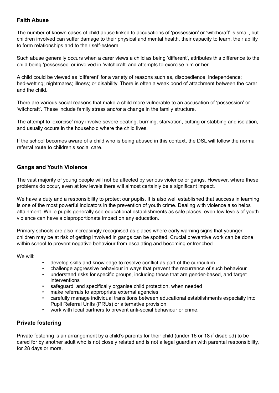#### <span id="page-27-0"></span>**Faith Abuse**

The number of known cases of child abuse linked to accusations of 'possession' or 'witchcraft' is small, but children involved can suffer damage to their physical and mental health, their capacity to learn, their ability to form relationships and to their self-esteem.

Such abuse generally occurs when a carer views a child as being 'different', attributes this difference to the child being 'possessed' or involved in 'witchcraft' and attempts to exorcise him or her.

A child could be viewed as 'different' for a variety of reasons such as, disobedience; independence; bed-wetting; nightmares; illness; or disability. There is often a weak bond of attachment between the carer and the child.

There are various social reasons that make a child more vulnerable to an accusation of 'possession' or 'witchcraft'. These include family stress and/or a change in the family structure.

The attempt to 'exorcise' may involve severe beating, burning, starvation, cutting or stabbing and isolation, and usually occurs in the household where the child lives.

If the school becomes aware of a child who is being abused in this context, the DSL will follow the normal referral route to children's social care.

# <span id="page-27-1"></span>**Gangs and Youth Violence**

The vast majority of young people will not be affected by serious violence or gangs. However, where these problems do occur, even at low levels there will almost certainly be a significant impact.

We have a duty and a responsibility to protect our pupils. It is also well established that success in learning is one of the most powerful indicators in the prevention of youth crime. Dealing with violence also helps attainment. While pupils generally see educational establishments as safe places, even low levels of youth violence can have a disproportionate impact on any education.

Primary schools are also increasingly recognised as places where early warning signs that younger children may be at risk of getting involved in gangs can be spotted. Crucial preventive work can be done within school to prevent negative behaviour from escalating and becoming entrenched.

We will:

- develop skills and knowledge to resolve conflict as part of the curriculum
- challenge aggressive behaviour in ways that prevent the recurrence of such behaviour
- understand risks for specific groups, including those that are gender-based, and target interventions
- safeguard, and specifically organise child protection, when needed
- make referrals to appropriate external agencies
- carefully manage individual transitions between educational establishments especially into Pupil Referral Units (PRUs) or alternative provision
- work with local partners to prevent anti-social behaviour or crime.

# <span id="page-27-2"></span>**Private fostering**

Private fostering is an arrangement by a child's parents for their child (under 16 or 18 if disabled) to be cared for by another adult who is not closely related and is not a legal guardian with parental responsibility, for 28 days or more.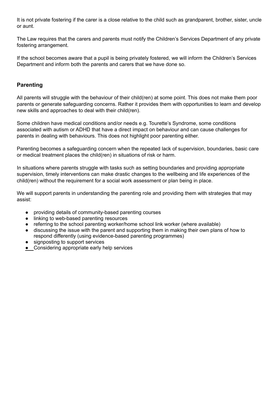It is not private fostering if the carer is a close relative to the child such as grandparent, brother, sister, uncle or aunt.

The Law requires that the carers and parents must notify the Children's Services Department of any private fostering arrangement.

If the school becomes aware that a pupil is being privately fostered, we will inform the Children's Services Department and inform both the parents and carers that we have done so.

# <span id="page-28-0"></span>**Parenting**

All parents will struggle with the behaviour of their child(ren) at some point. This does not make them poor parents or generate safeguarding concerns. Rather it provides them with opportunities to learn and develop new skills and approaches to deal with their child(ren).

Some children have medical conditions and/or needs e.g. Tourette's Syndrome, some conditions associated with autism or ADHD that have a direct impact on behaviour and can cause challenges for parents in dealing with behaviours. This does not highlight poor parenting either.

Parenting becomes a safeguarding concern when the repeated lack of supervision, boundaries, basic care or medical treatment places the child(ren) in situations of risk or harm.

In situations where parents struggle with tasks such as setting boundaries and providing appropriate supervision, timely interventions can make drastic changes to the wellbeing and life experiences of the child(ren) without the requirement for a social work assessment or plan being in place.

We will support parents in understanding the parenting role and providing them with strategies that may assist:

- providing details of community-based parenting courses
- linking to web-based parenting resources
- referring to the school parenting worker/home school link worker (where available)
- discussing the issue with the parent and supporting them in making their own plans of how to respond differently (using evidence-based parenting programmes)
- signposting to support services
- Considering appropriate early help services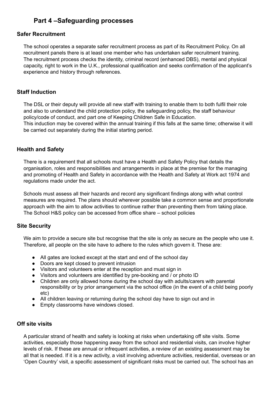# **Part 4 –Safeguarding processes**

## <span id="page-29-0"></span>**Safer Recruitment**

The school operates a separate safer recruitment process as part of its Recruitment Policy. On all recruitment panels there is at least one member who has undertaken safer recruitment training. The recruitment process checks the identity, criminal record (enhanced DBS), mental and physical capacity, right to work in the U.K., professional qualification and seeks confirmation of the applicant's experience and history through references.

# <span id="page-29-1"></span>**Staff Induction**

The DSL or their deputy will provide all new staff with training to enable them to both fulfil their role and also to understand the child protection policy, the safeguarding policy, the staff behaviour policy/code of conduct, and part one of Keeping Children Safe in Education. This induction may be covered within the annual training if this falls at the same time; otherwise it will be carried out separately during the initial starting period.

# <span id="page-29-2"></span>**Health and Safety**

There is a requirement that all schools must have a Health and Safety Policy that details the organisation, roles and responsibilities and arrangements in place at the premise for the managing and promoting of Health and Safety in accordance with the Health and Safety at Work act 1974 and regulations made under the act.

Schools must assess all their hazards and record any significant findings along with what control measures are required. The plans should wherever possible take a common sense and proportionate approach with the aim to allow activities to continue rather than preventing them from taking place. The School H&S policy can be accessed from office share – school policies

#### <span id="page-29-3"></span>**Site Security**

We aim to provide a secure site but recognise that the site is only as secure as the people who use it. Therefore, all people on the site have to adhere to the rules which govern it. These are:

- All gates are locked except at the start and end of the school day
- Doors are kept closed to prevent intrusion
- Visitors and volunteers enter at the reception and must sign in
- Visitors and volunteers are identified by pre-booking and / or photo ID
- Children are only allowed home during the school day with adults/carers with parental responsibility or by prior arrangement via the school office (in the event of a child being poorly etc)
- All children leaving or returning during the school day have to sign out and in
- Empty classrooms have windows closed.

#### <span id="page-29-4"></span>**Off site visits**

A particular strand of health and safety is looking at risks when undertaking off site visits. Some activities, especially those happening away from the school and residential visits, can involve higher levels of risk. If these are annual or infrequent activities, a review of an existing assessment may be all that is needed. If it is a new activity, a visit involving adventure activities, residential, overseas or an 'Open Country' visit, a specific assessment of significant risks must be carried out. The school has an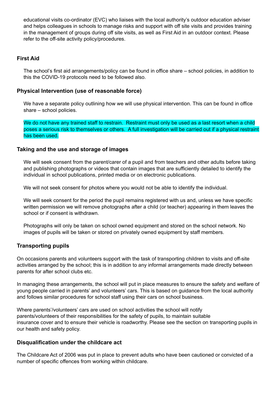educational visits co-ordinator (EVC) who liaises with the local authority's outdoor education adviser and helps colleagues in schools to manage risks and support with off site visits and provides training in the management of groups during off site visits, as well as First Aid in an outdoor context. Please refer to the off-site activity policy/procedures.

## <span id="page-30-0"></span>**First Aid**

The school's first aid arrangements/policy can be found in office share – school policies, in addition to this the COVID-19 protocols need to be followed also.

#### <span id="page-30-1"></span>**Physical Intervention (use of reasonable force)**

We have a separate policy outlining how we will use physical intervention. This can be found in office share – school policies.

We do not have any trained staff to restrain. Restraint must only be used as a last resort when a child poses a serious risk to themselves or others. A full investigation will be carried out if a physical restraint has been used.

#### <span id="page-30-2"></span>**Taking and the use and storage of images**

We will seek consent from the parent/carer of a pupil and from teachers and other adults before taking and publishing photographs or videos that contain images that are sufficiently detailed to identify the individual in school publications, printed media or on electronic publications.

We will not seek consent for photos where you would not be able to identify the individual.

We will seek consent for the period the pupil remains registered with us and, unless we have specific written permission we will remove photographs after a child (or teacher) appearing in them leaves the school or if consent is withdrawn.

Photographs will only be taken on school owned equipment and stored on the school network. No images of pupils will be taken or stored on privately owned equipment by staff members.

#### <span id="page-30-3"></span>**Transporting pupils**

On occasions parents and volunteers support with the task of transporting children to visits and off-site activities arranged by the school; this is in addition to any informal arrangements made directly between parents for after school clubs etc.

In managing these arrangements, the school will put in place measures to ensure the safety and welfare of young people carried in parents' and volunteers' cars. This is based on guidance from the local authority and follows similar procedures for school staff using their cars on school business.

Where parents'/volunteers' cars are used on school activities the school will notify parents/volunteers of their responsibilities for the safety of pupils, to maintain suitable insurance cover and to ensure their vehicle is roadworthy. Please see the section on transporting pupils in our health and safety policy.

#### <span id="page-30-4"></span>**Disqualification under the childcare act**

The Childcare Act of 2006 was put in place to prevent adults who have been cautioned or convicted of a number of specific offences from working within childcare.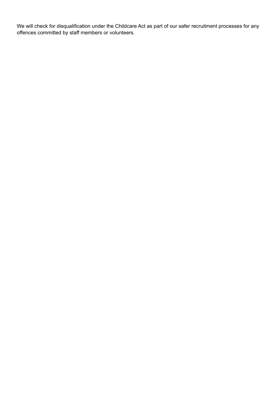We will check for disqualification under the Childcare Act as part of our safer recruitment processes for any offences committed by staff members or volunteers.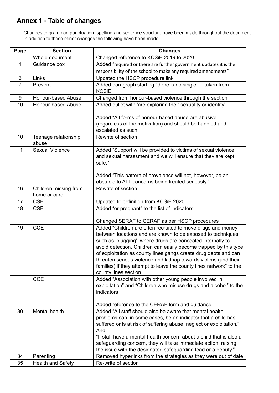# <span id="page-32-0"></span>**Annex 1 - Table of changes**

Changes to grammar, punctuation, spelling and sentence structure have been made throughout the document. In addition to these minor changes the following have been made.

| Page           | <b>Section</b>                        | <b>Changes</b>                                                                                                                                                                                                                                                                                                                                                                                                                                                                                     |  |
|----------------|---------------------------------------|----------------------------------------------------------------------------------------------------------------------------------------------------------------------------------------------------------------------------------------------------------------------------------------------------------------------------------------------------------------------------------------------------------------------------------------------------------------------------------------------------|--|
|                | Whole document                        | Changed reference to KCSiE 2019 to 2020                                                                                                                                                                                                                                                                                                                                                                                                                                                            |  |
| $\mathbf{1}$   | Guidance box                          | Added "required or there are further government updates it is the                                                                                                                                                                                                                                                                                                                                                                                                                                  |  |
|                |                                       | responsibility of the school to make any required amendments"                                                                                                                                                                                                                                                                                                                                                                                                                                      |  |
| $\mathfrak{S}$ | Links                                 | Updated the HSCP procedure link                                                                                                                                                                                                                                                                                                                                                                                                                                                                    |  |
| $\overline{7}$ | Prevent                               | Added paragraph starting "there is no single" taken from<br><b>KCSiE</b>                                                                                                                                                                                                                                                                                                                                                                                                                           |  |
| 9              | Honour-based Abuse                    | Changed from honour-based violence through the section                                                                                                                                                                                                                                                                                                                                                                                                                                             |  |
| 10             | Honour-based Abuse                    | Added bullet with 'are exploring their sexuality or identity'                                                                                                                                                                                                                                                                                                                                                                                                                                      |  |
|                |                                       | Added "All forms of honour-based abuse are abusive<br>(regardless of the motivation) and should be handled and<br>escalated as such."                                                                                                                                                                                                                                                                                                                                                              |  |
| 10             | Teenage relationship<br>abuse         | Rewrite of section                                                                                                                                                                                                                                                                                                                                                                                                                                                                                 |  |
| 11             | <b>Sexual Violence</b>                | Added "Support will be provided to victims of sexual violence<br>and sexual harassment and we will ensure that they are kept<br>safe."                                                                                                                                                                                                                                                                                                                                                             |  |
|                |                                       | Added "This pattern of prevalence will not, however, be an<br>obstacle to ALL concerns being treated seriously."                                                                                                                                                                                                                                                                                                                                                                                   |  |
| 16             | Children missing from<br>home or care | Rewrite of section                                                                                                                                                                                                                                                                                                                                                                                                                                                                                 |  |
| 17             | <b>CSE</b>                            | Updated to definition from KCSiE 2020                                                                                                                                                                                                                                                                                                                                                                                                                                                              |  |
| 18             | <b>CSE</b>                            | Added "or pregnant" to the list of indicators<br>Changed SERAF to CERAF as per HSCP procedures                                                                                                                                                                                                                                                                                                                                                                                                     |  |
| 19             | <b>CCE</b>                            | Added "Children are often recruited to move drugs and money<br>between locations and are known to be exposed to techniques<br>such as 'plugging', where drugs are concealed internally to<br>avoid detection. Children can easily become trapped by this type<br>of exploitation as county lines gangs create drug debts and can<br>threaten serious violence and kidnap towards victims (and their<br>families) if they attempt to leave the county lines network" to the<br>county lines section |  |
|                | <b>CCE</b>                            | Added "Association with other young people involved in<br>exploitation" and "Children who misuse drugs and alcohol" to the<br>indicators                                                                                                                                                                                                                                                                                                                                                           |  |
| 30             | Mental health                         | Added reference to the CERAF form and guidance<br>Added "All staff should also be aware that mental health                                                                                                                                                                                                                                                                                                                                                                                         |  |
|                |                                       | problems can, in some cases, be an indicator that a child has<br>suffered or is at risk of suffering abuse, neglect or exploitation."<br>And<br>"If staff have a mental health concern about a child that is also a<br>safeguarding concern, they will take immediate action, raising<br>the issue with the designated safeguarding lead or a deputy."                                                                                                                                             |  |
| 34             | Parenting                             | Removed hyperlinks from the strategies as they were out of date                                                                                                                                                                                                                                                                                                                                                                                                                                    |  |
| 35             | <b>Health and Safety</b>              | Re-write of section                                                                                                                                                                                                                                                                                                                                                                                                                                                                                |  |